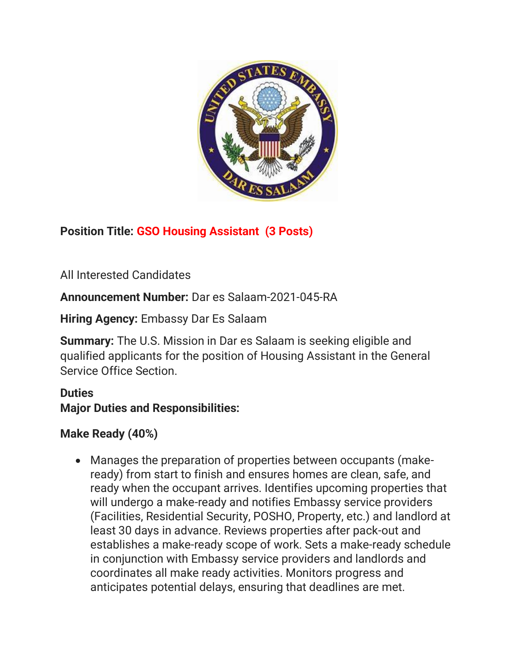

## **Position Title: GSO Housing Assistant (3 Posts)**

All Interested Candidates

**Announcement Number:** Dar es Salaam-2021-045-RA

**Hiring Agency:** Embassy Dar Es Salaam

**Summary:** The U.S. Mission in Dar es Salaam is seeking eligible and qualified applicants for the position of Housing Assistant in the General Service Office Section.

## **Duties Major Duties and Responsibilities:**

## **Make Ready (40%)**

• Manages the preparation of properties between occupants (makeready) from start to finish and ensures homes are clean, safe, and ready when the occupant arrives. Identifies upcoming properties that will undergo a make-ready and notifies Embassy service providers (Facilities, Residential Security, POSHO, Property, etc.) and landlord at least 30 days in advance. Reviews properties after pack-out and establishes a make-ready scope of work. Sets a make-ready schedule in conjunction with Embassy service providers and landlords and coordinates all make ready activities. Monitors progress and anticipates potential delays, ensuring that deadlines are met.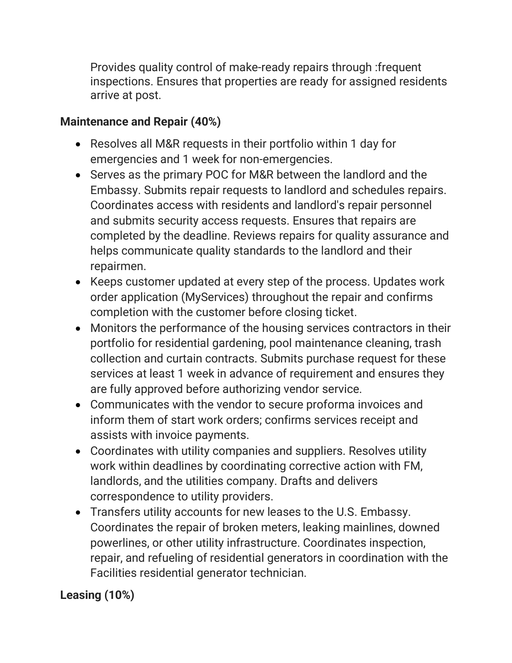Provides quality control of make-ready repairs through :frequent inspections. Ensures that properties are ready for assigned residents arrive at post.

## **Maintenance and Repair (40%)**

- Resolves all M&R requests in their portfolio within 1 day for emergencies and 1 week for non-emergencies.
- Serves as the primary POC for M&R between the landlord and the Embassy. Submits repair requests to landlord and schedules repairs. Coordinates access with residents and landlord's repair personnel and submits security access requests. Ensures that repairs are completed by the deadline. Reviews repairs for quality assurance and helps communicate quality standards to the landlord and their repairmen.
- Keeps customer updated at every step of the process. Updates work order application (MyServices) throughout the repair and confirms completion with the customer before closing ticket.
- Monitors the performance of the housing services contractors in their portfolio for residential gardening, pool maintenance cleaning, trash collection and curtain contracts. Submits purchase request for these services at least 1 week in advance of requirement and ensures they are fully approved before authorizing vendor service.
- Communicates with the vendor to secure proforma invoices and inform them of start work orders; confirms services receipt and assists with invoice payments.
- Coordinates with utility companies and suppliers. Resolves utility work within deadlines by coordinating corrective action with FM, landlords, and the utilities company. Drafts and delivers correspondence to utility providers.
- Transfers utility accounts for new leases to the U.S. Embassy. Coordinates the repair of broken meters, leaking mainlines, downed powerlines, or other utility infrastructure. Coordinates inspection, repair, and refueling of residential generators in coordination with the Facilities residential generator technician.

# **Leasing (10%)**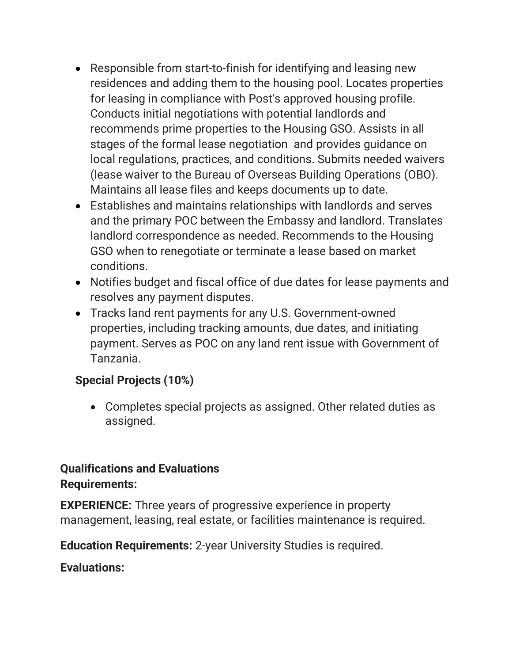- Responsible from start-to-finish for identifying and leasing new residences and adding them to the housing pool. Locates properties for leasing in compliance with Post's approved housing profile. Conducts initial negotiations with potential landlords and recommends prime properties to the Housing GSO. Assists in all stages of the formal lease negotiation and provides guidance on local regulations, practices, and conditions. Submits needed waivers (lease waiver to the Bureau of Overseas Building Operations (OBO). Maintains all lease files and keeps documents up to date.
- Establishes and maintains relationships with landlords and serves and the primary POC between the Embassy and landlord. Translates landlord correspondence as needed. Recommends to the Housing GSO when to renegotiate or terminate a lease based on market conditions.
- Notifies budget and fiscal office of due dates for lease payments and resolves any payment disputes.
- Tracks land rent payments for any U.S. Government-owned properties, including tracking amounts, due dates, and initiating payment. Serves as POC on any land rent issue with Government of Tanzania.

#### **Special Projects (10%)**

• Completes special projects as assigned. Other related duties as assigned.

## **Qualifications and Evaluations Requirements:**

**EXPERIENCE:** Three years of progressive experience in property management, leasing, real estate, or facilities maintenance is required.

**Education Requirements:** 2-year University Studies is required.

**Evaluations:**